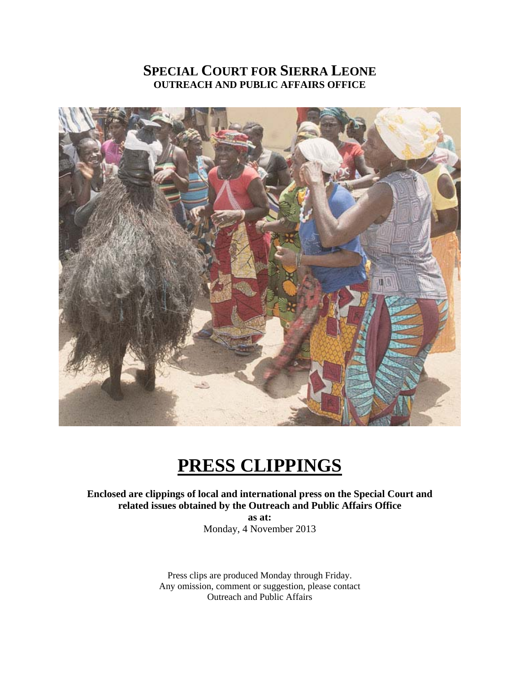# **SPECIAL COURT FOR SIERRA LEONE OUTREACH AND PUBLIC AFFAIRS OFFICE**



# **PRESS CLIPPINGS**

**Enclosed are clippings of local and international press on the Special Court and related issues obtained by the Outreach and Public Affairs Office** 

> **as at:**  Monday, 4 November 2013

Press clips are produced Monday through Friday. Any omission, comment or suggestion, please contact Outreach and Public Affairs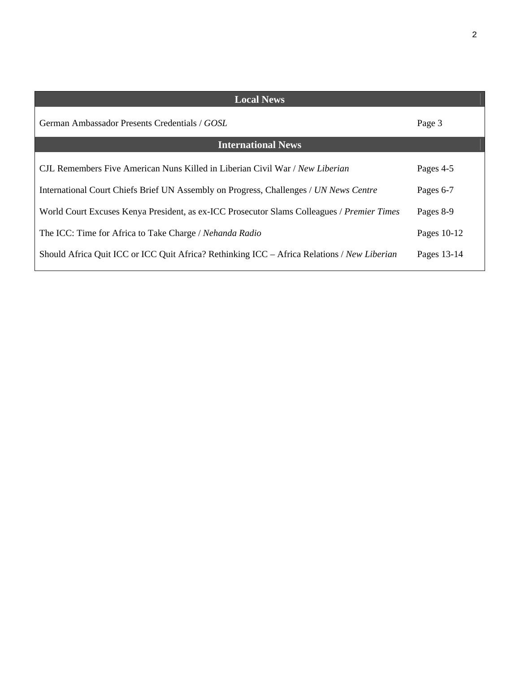| <b>Local News</b>                                                                           |             |
|---------------------------------------------------------------------------------------------|-------------|
| German Ambassador Presents Credentials / GOSL                                               | Page 3      |
| <b>International News</b>                                                                   |             |
| CJL Remembers Five American Nuns Killed in Liberian Civil War / New Liberian                | Pages 4-5   |
| International Court Chiefs Brief UN Assembly on Progress, Challenges / UN News Centre       | Pages 6-7   |
| World Court Excuses Kenya President, as ex-ICC Prosecutor Slams Colleagues / Premier Times  | Pages 8-9   |
| The ICC: Time for Africa to Take Charge / Nehanda Radio                                     | Pages 10-12 |
| Should Africa Quit ICC or ICC Quit Africa? Rethinking ICC - Africa Relations / New Liberian | Pages 13-14 |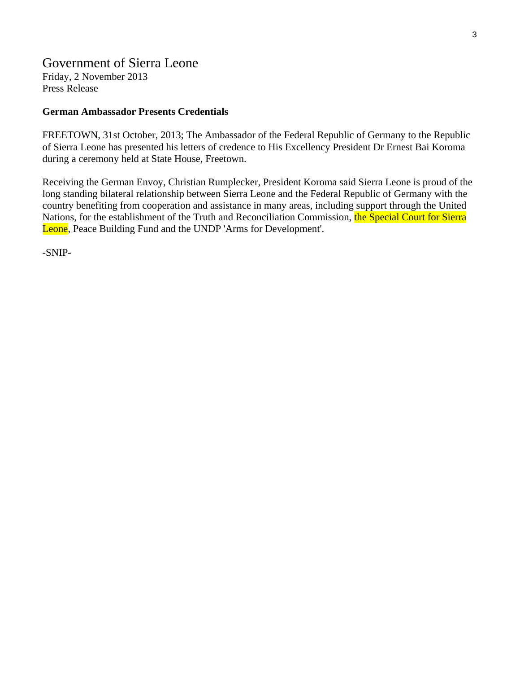# Government of Sierra Leone

Friday, 2 November 2013 Press Release

#### **German Ambassador Presents Credentials**

FREETOWN, 31st October, 2013; The Ambassador of the Federal Republic of Germany to the Republic of Sierra Leone has presented his letters of credence to His Excellency President Dr Ernest Bai Koroma during a ceremony held at State House, Freetown.

Receiving the German Envoy, Christian Rumplecker, President Koroma said Sierra Leone is proud of the long standing bilateral relationship between Sierra Leone and the Federal Republic of Germany with the country benefiting from cooperation and assistance in many areas, including support through the United Nations, for the establishment of the Truth and Reconciliation Commission, the Special Court for Sierra Leone, Peace Building Fund and the UNDP 'Arms for Development'.

-SNIP-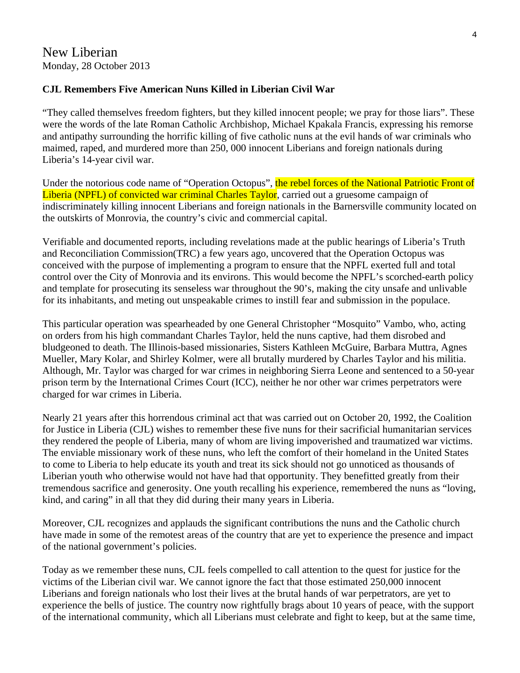# New Liberian Monday, 28 October 2013

#### **CJL Remembers Five American Nuns Killed in Liberian Civil War**

"They called themselves freedom fighters, but they killed innocent people; we pray for those liars". These were the words of the late Roman Catholic Archbishop, Michael Kpakala Francis, expressing his remorse and antipathy surrounding the horrific killing of five catholic nuns at the evil hands of war criminals who maimed, raped, and murdered more than 250, 000 innocent Liberians and foreign nationals during Liberia's 14-year civil war.

Under the notorious code name of "Operation Octopus", the rebel forces of the National Patriotic Front of Liberia (NPFL) of convicted war criminal Charles Taylor, carried out a gruesome campaign of indiscriminately killing innocent Liberians and foreign nationals in the Barnersville community located on the outskirts of Monrovia, the country's civic and commercial capital.

Verifiable and documented reports, including revelations made at the public hearings of Liberia's Truth and Reconciliation Commission(TRC) a few years ago, uncovered that the Operation Octopus was conceived with the purpose of implementing a program to ensure that the NPFL exerted full and total control over the City of Monrovia and its environs. This would become the NPFL's scorched-earth policy and template for prosecuting its senseless war throughout the 90's, making the city unsafe and unlivable for its inhabitants, and meting out unspeakable crimes to instill fear and submission in the populace.

This particular operation was spearheaded by one General Christopher "Mosquito" Vambo, who, acting on orders from his high commandant Charles Taylor, held the nuns captive, had them disrobed and bludgeoned to death. The Illinois-based missionaries, Sisters Kathleen McGuire, Barbara Muttra, Agnes Mueller, Mary Kolar, and Shirley Kolmer, were all brutally murdered by Charles Taylor and his militia. Although, Mr. Taylor was charged for war crimes in neighboring Sierra Leone and sentenced to a 50-year prison term by the International Crimes Court (ICC), neither he nor other war crimes perpetrators were charged for war crimes in Liberia.

Nearly 21 years after this horrendous criminal act that was carried out on October 20, 1992, the Coalition for Justice in Liberia (CJL) wishes to remember these five nuns for their sacrificial humanitarian services they rendered the people of Liberia, many of whom are living impoverished and traumatized war victims. The enviable missionary work of these nuns, who left the comfort of their homeland in the United States to come to Liberia to help educate its youth and treat its sick should not go unnoticed as thousands of Liberian youth who otherwise would not have had that opportunity. They benefitted greatly from their tremendous sacrifice and generosity. One youth recalling his experience, remembered the nuns as "loving, kind, and caring" in all that they did during their many years in Liberia.

Moreover, CJL recognizes and applauds the significant contributions the nuns and the Catholic church have made in some of the remotest areas of the country that are yet to experience the presence and impact of the national government's policies.

Today as we remember these nuns, CJL feels compelled to call attention to the quest for justice for the victims of the Liberian civil war. We cannot ignore the fact that those estimated 250,000 innocent Liberians and foreign nationals who lost their lives at the brutal hands of war perpetrators, are yet to experience the bells of justice. The country now rightfully brags about 10 years of peace, with the support of the international community, which all Liberians must celebrate and fight to keep, but at the same time,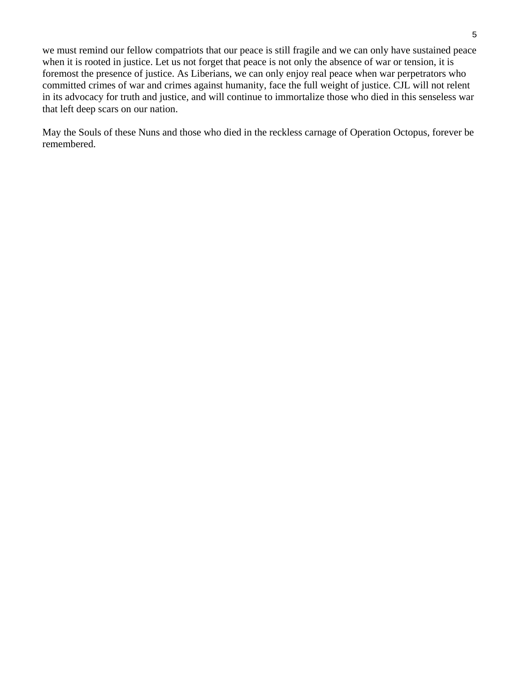we must remind our fellow compatriots that our peace is still fragile and we can only have sustained peace when it is rooted in justice. Let us not forget that peace is not only the absence of war or tension, it is foremost the presence of justice. As Liberians, we can only enjoy real peace when war perpetrators who committed crimes of war and crimes against humanity, face the full weight of justice. CJL will not relent in its advocacy for truth and justice, and will continue to immortalize those who died in this senseless war that left deep scars on our nation.

May the Souls of these Nuns and those who died in the reckless carnage of Operation Octopus, forever be remembered.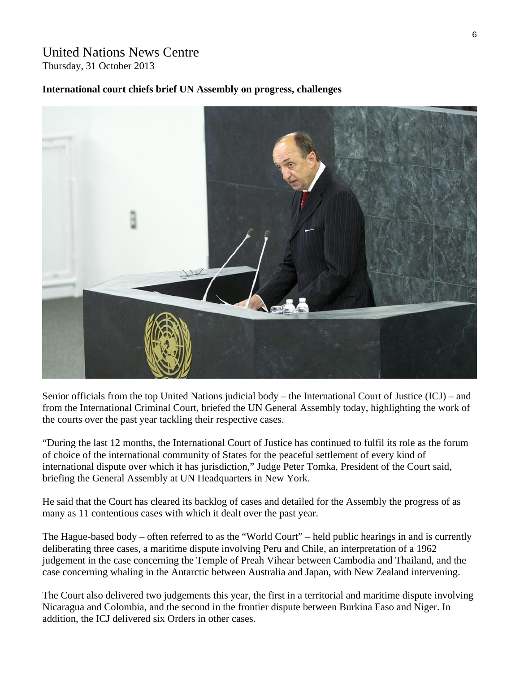# United Nations News Centre Thursday, 31 October 2013

#### **International court chiefs brief UN Assembly on progress, challenges**



Senior officials from the top United Nations judicial body – the International Court of Justice (ICJ) – and from the International Criminal Court, briefed the UN General Assembly today, highlighting the work of the courts over the past year tackling their respective cases.

"During the last 12 months, the International Court of Justice has continued to fulfil its role as the forum of choice of the international community of States for the peaceful settlement of every kind of international dispute over which it has jurisdiction," Judge Peter Tomka, President of the Court said, briefing the General Assembly at UN Headquarters in New York.

He said that the Court has cleared its backlog of cases and detailed for the Assembly the progress of as many as 11 contentious cases with which it dealt over the past year.

The Hague-based body – often referred to as the "World Court" – held public hearings in and is currently deliberating three cases, a maritime dispute involving Peru and Chile, an interpretation of a 1962 judgement in the case concerning the Temple of Preah Vihear between Cambodia and Thailand, and the case concerning whaling in the Antarctic between Australia and Japan, with New Zealand intervening.

The Court also delivered two judgements this year, the first in a territorial and maritime dispute involving Nicaragua and Colombia, and the second in the frontier dispute between Burkina Faso and Niger. In addition, the ICJ delivered six Orders in other cases.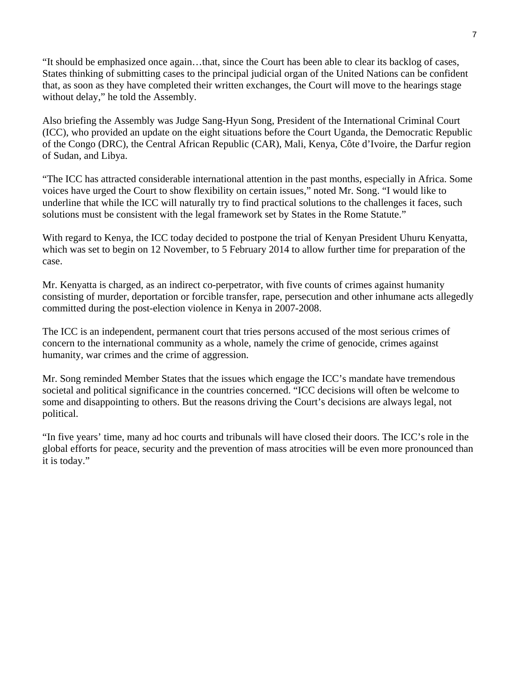"It should be emphasized once again…that, since the Court has been able to clear its backlog of cases, States thinking of submitting cases to the principal judicial organ of the United Nations can be confident that, as soon as they have completed their written exchanges, the Court will move to the hearings stage without delay," he told the Assembly.

Also briefing the Assembly was Judge Sang-Hyun Song, President of the International Criminal Court (ICC), who provided an update on the eight situations before the Court Uganda, the Democratic Republic of the Congo (DRC), the Central African Republic (CAR), Mali, Kenya, Côte d'Ivoire, the Darfur region of Sudan, and Libya.

"The ICC has attracted considerable international attention in the past months, especially in Africa. Some voices have urged the Court to show flexibility on certain issues," noted Mr. Song. "I would like to underline that while the ICC will naturally try to find practical solutions to the challenges it faces, such solutions must be consistent with the legal framework set by States in the Rome Statute."

With regard to Kenya, the ICC today decided to postpone the trial of Kenyan President Uhuru Kenyatta, which was set to begin on 12 November, to 5 February 2014 to allow further time for preparation of the case.

Mr. Kenyatta is charged, as an indirect co-perpetrator, with five counts of crimes against humanity consisting of murder, deportation or forcible transfer, rape, persecution and other inhumane acts allegedly committed during the post-election violence in Kenya in 2007-2008.

The ICC is an independent, permanent court that tries persons accused of the most serious crimes of concern to the international community as a whole, namely the crime of genocide, crimes against humanity, war crimes and the crime of aggression.

Mr. Song reminded Member States that the issues which engage the ICC's mandate have tremendous societal and political significance in the countries concerned. "ICC decisions will often be welcome to some and disappointing to others. But the reasons driving the Court's decisions are always legal, not political.

"In five years' time, many ad hoc courts and tribunals will have closed their doors. The ICC's role in the global efforts for peace, security and the prevention of mass atrocities will be even more pronounced than it is today."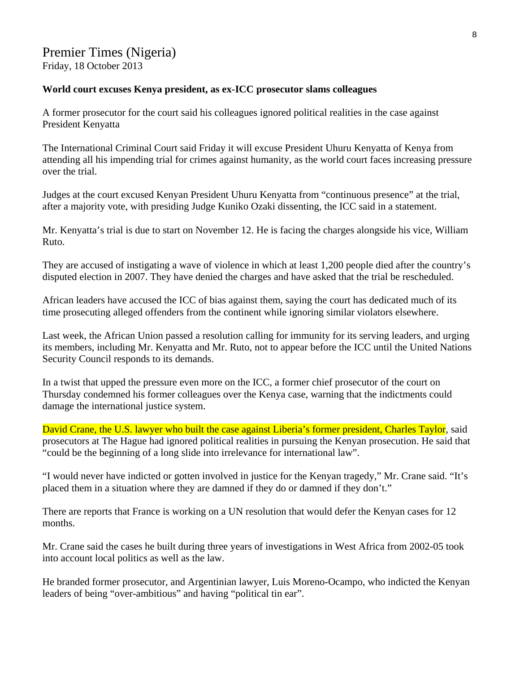# Premier Times (Nigeria) Friday, 18 October 2013

#### **World court excuses Kenya president, as ex-ICC prosecutor slams colleagues**

A former prosecutor for the court said his colleagues ignored political realities in the case against President Kenyatta

The International Criminal Court said Friday it will excuse President Uhuru Kenyatta of Kenya from attending all his impending trial for crimes against humanity, as the world court faces increasing pressure over the trial.

Judges at the court excused Kenyan President Uhuru Kenyatta from "continuous presence" at the trial, after a majority vote, with presiding Judge Kuniko Ozaki dissenting, the ICC said in a statement.

Mr. Kenyatta's trial is due to start on November 12. He is facing the charges alongside his vice, William Ruto.

They are accused of instigating a wave of violence in which at least 1,200 people died after the country's disputed election in 2007. They have denied the charges and have asked that the trial be rescheduled.

African leaders have accused the ICC of bias against them, saying the court has dedicated much of its time prosecuting alleged offenders from the continent while ignoring similar violators elsewhere.

Last week, the African Union passed a resolution calling for immunity for its serving leaders, and urging its members, including Mr. Kenyatta and Mr. Ruto, not to appear before the ICC until the United Nations Security Council responds to its demands.

In a twist that upped the pressure even more on the ICC, a former chief prosecutor of the court on Thursday condemned his former colleagues over the Kenya case, warning that the indictments could damage the international justice system.

David Crane, the U.S. lawyer who built the case against Liberia's former president, Charles Taylor, said prosecutors at The Hague had ignored political realities in pursuing the Kenyan prosecution. He said that "could be the beginning of a long slide into irrelevance for international law".

"I would never have indicted or gotten involved in justice for the Kenyan tragedy," Mr. Crane said. "It's placed them in a situation where they are damned if they do or damned if they don't."

There are reports that France is working on a UN resolution that would defer the Kenyan cases for 12 months.

Mr. Crane said the cases he built during three years of investigations in West Africa from 2002-05 took into account local politics as well as the law.

He branded former prosecutor, and Argentinian lawyer, Luis Moreno-Ocampo, who indicted the Kenyan leaders of being "over-ambitious" and having "political tin ear".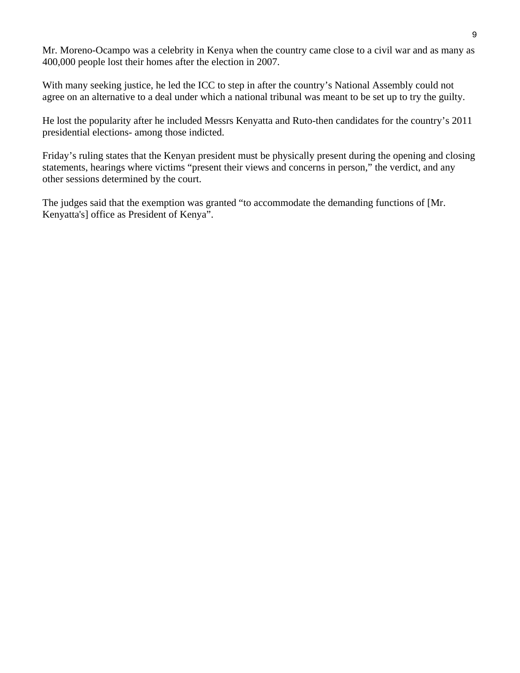Mr. Moreno-Ocampo was a celebrity in Kenya when the country came close to a civil war and as many as 400,000 people lost their homes after the election in 2007.

With many seeking justice, he led the ICC to step in after the country's National Assembly could not agree on an alternative to a deal under which a national tribunal was meant to be set up to try the guilty.

He lost the popularity after he included Messrs Kenyatta and Ruto-then candidates for the country's 2011 presidential elections- among those indicted.

Friday's ruling states that the Kenyan president must be physically present during the opening and closing statements, hearings where victims "present their views and concerns in person," the verdict, and any other sessions determined by the court.

The judges said that the exemption was granted "to accommodate the demanding functions of [Mr. Kenyatta's] office as President of Kenya".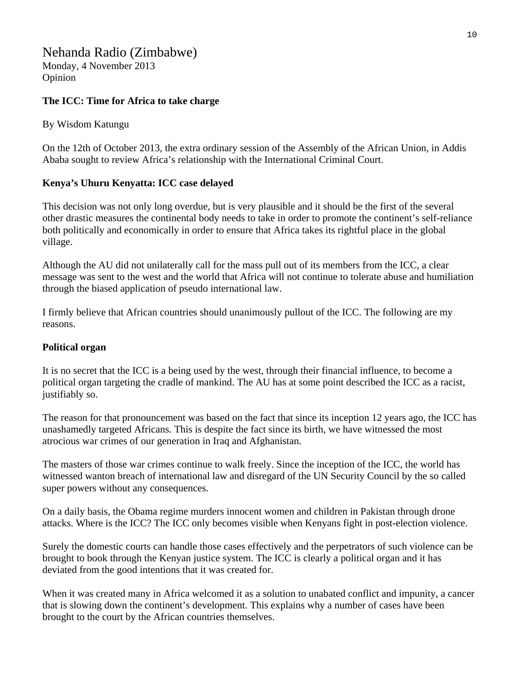# Nehanda Radio (Zimbabwe)

Monday, 4 November 2013 Opinion

#### **The ICC: Time for Africa to take charge**

#### By Wisdom Katungu

On the 12th of October 2013, the extra ordinary session of the Assembly of the African Union, in Addis Ababa sought to review Africa's relationship with the International Criminal Court.

#### **Kenya's Uhuru Kenyatta: ICC case delayed**

This decision was not only long overdue, but is very plausible and it should be the first of the several other drastic measures the continental body needs to take in order to promote the continent's self-reliance both politically and economically in order to ensure that Africa takes its rightful place in the global village.

Although the AU did not unilaterally call for the mass pull out of its members from the ICC, a clear message was sent to the west and the world that Africa will not continue to tolerate abuse and humiliation through the biased application of pseudo international law.

I firmly believe that African countries should unanimously pullout of the ICC. The following are my reasons.

#### **Political organ**

It is no secret that the ICC is a being used by the west, through their financial influence, to become a political organ targeting the cradle of mankind. The AU has at some point described the ICC as a racist, justifiably so.

The reason for that pronouncement was based on the fact that since its inception 12 years ago, the ICC has unashamedly targeted Africans. This is despite the fact since its birth, we have witnessed the most atrocious war crimes of our generation in Iraq and Afghanistan.

The masters of those war crimes continue to walk freely. Since the inception of the ICC, the world has witnessed wanton breach of international law and disregard of the UN Security Council by the so called super powers without any consequences.

On a daily basis, the Obama regime murders innocent women and children in Pakistan through drone attacks. Where is the ICC? The ICC only becomes visible when Kenyans fight in post-election violence.

Surely the domestic courts can handle those cases effectively and the perpetrators of such violence can be brought to book through the Kenyan justice system. The ICC is clearly a political organ and it has deviated from the good intentions that it was created for.

When it was created many in Africa welcomed it as a solution to unabated conflict and impunity, a cancer that is slowing down the continent's development. This explains why a number of cases have been brought to the court by the African countries themselves.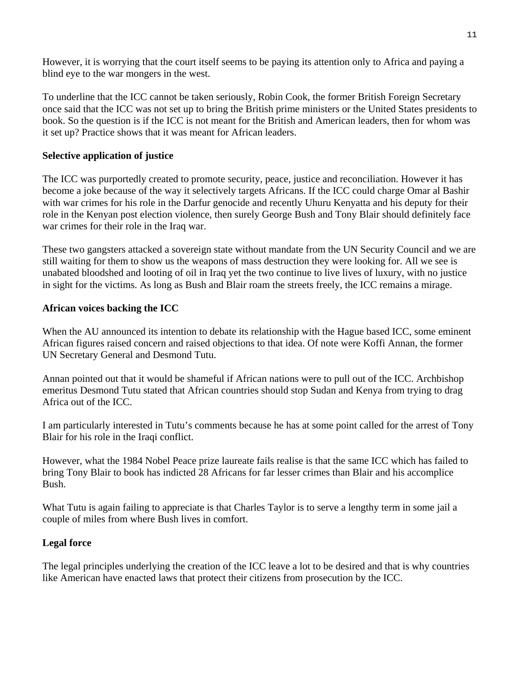However, it is worrying that the court itself seems to be paying its attention only to Africa and paying a blind eye to the war mongers in the west.

To underline that the ICC cannot be taken seriously, Robin Cook, the former British Foreign Secretary once said that the ICC was not set up to bring the British prime ministers or the United States presidents to book. So the question is if the ICC is not meant for the British and American leaders, then for whom was it set up? Practice shows that it was meant for African leaders.

#### **Selective application of justice**

The ICC was purportedly created to promote security, peace, justice and reconciliation. However it has become a joke because of the way it selectively targets Africans. If the ICC could charge Omar al Bashir with war crimes for his role in the Darfur genocide and recently Uhuru Kenyatta and his deputy for their role in the Kenyan post election violence, then surely George Bush and Tony Blair should definitely face war crimes for their role in the Iraq war.

These two gangsters attacked a sovereign state without mandate from the UN Security Council and we are still waiting for them to show us the weapons of mass destruction they were looking for. All we see is unabated bloodshed and looting of oil in Iraq yet the two continue to live lives of luxury, with no justice in sight for the victims. As long as Bush and Blair roam the streets freely, the ICC remains a mirage.

#### **African voices backing the ICC**

When the AU announced its intention to debate its relationship with the Hague based ICC, some eminent African figures raised concern and raised objections to that idea. Of note were Koffi Annan, the former UN Secretary General and Desmond Tutu.

Annan pointed out that it would be shameful if African nations were to pull out of the ICC. Archbishop emeritus Desmond Tutu stated that African countries should stop Sudan and Kenya from trying to drag Africa out of the ICC.

I am particularly interested in Tutu's comments because he has at some point called for the arrest of Tony Blair for his role in the Iraqi conflict.

However, what the 1984 Nobel Peace prize laureate fails realise is that the same ICC which has failed to bring Tony Blair to book has indicted 28 Africans for far lesser crimes than Blair and his accomplice Bush.

What Tutu is again failing to appreciate is that Charles Taylor is to serve a lengthy term in some jail a couple of miles from where Bush lives in comfort.

#### **Legal force**

The legal principles underlying the creation of the ICC leave a lot to be desired and that is why countries like American have enacted laws that protect their citizens from prosecution by the ICC.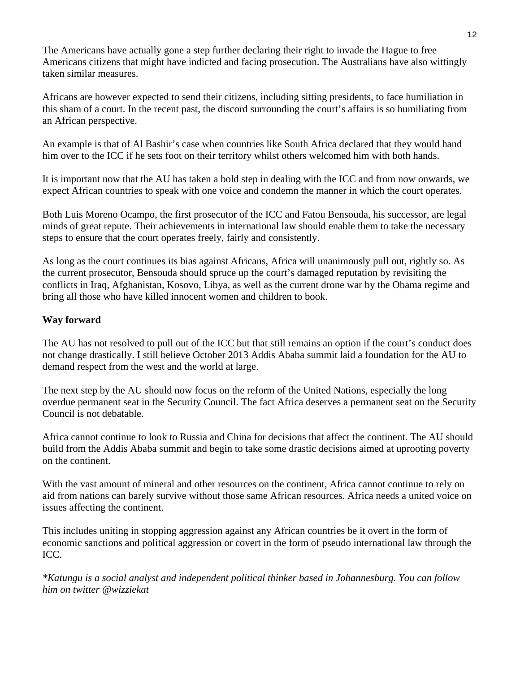The Americans have actually gone a step further declaring their right to invade the Hague to free Americans citizens that might have indicted and facing prosecution. The Australians have also wittingly taken similar measures.

Africans are however expected to send their citizens, including sitting presidents, to face humiliation in this sham of a court. In the recent past, the discord surrounding the court's affairs is so humiliating from an African perspective.

An example is that of Al Bashir's case when countries like South Africa declared that they would hand him over to the ICC if he sets foot on their territory whilst others welcomed him with both hands.

It is important now that the AU has taken a bold step in dealing with the ICC and from now onwards, we expect African countries to speak with one voice and condemn the manner in which the court operates.

Both Luis Moreno Ocampo, the first prosecutor of the ICC and Fatou Bensouda, his successor, are legal minds of great repute. Their achievements in international law should enable them to take the necessary steps to ensure that the court operates freely, fairly and consistently.

As long as the court continues its bias against Africans, Africa will unanimously pull out, rightly so. As the current prosecutor, Bensouda should spruce up the court's damaged reputation by revisiting the conflicts in Iraq, Afghanistan, Kosovo, Libya, as well as the current drone war by the Obama regime and bring all those who have killed innocent women and children to book.

#### **Way forward**

The AU has not resolved to pull out of the ICC but that still remains an option if the court's conduct does not change drastically. I still believe October 2013 Addis Ababa summit laid a foundation for the AU to demand respect from the west and the world at large.

The next step by the AU should now focus on the reform of the United Nations, especially the long overdue permanent seat in the Security Council. The fact Africa deserves a permanent seat on the Security Council is not debatable.

Africa cannot continue to look to Russia and China for decisions that affect the continent. The AU should build from the Addis Ababa summit and begin to take some drastic decisions aimed at uprooting poverty on the continent.

With the vast amount of mineral and other resources on the continent, Africa cannot continue to rely on aid from nations can barely survive without those same African resources. Africa needs a united voice on issues affecting the continent.

This includes uniting in stopping aggression against any African countries be it overt in the form of economic sanctions and political aggression or covert in the form of pseudo international law through the ICC.

*\*Katungu is a social analyst and independent political thinker based in Johannesburg. You can follow him on twitter @wizziekat*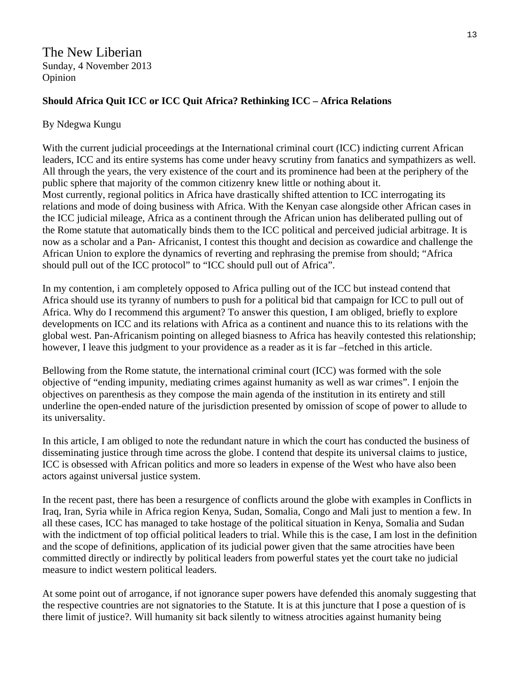The New Liberian Sunday, 4 November 2013 Opinion

#### **Should Africa Quit ICC or ICC Quit Africa? Rethinking ICC – Africa Relations**

#### By Ndegwa Kungu

With the current judicial proceedings at the International criminal court (ICC) indicting current African leaders, ICC and its entire systems has come under heavy scrutiny from fanatics and sympathizers as well. All through the years, the very existence of the court and its prominence had been at the periphery of the public sphere that majority of the common citizenry knew little or nothing about it. Most currently, regional politics in Africa have drastically shifted attention to ICC interrogating its relations and mode of doing business with Africa. With the Kenyan case alongside other African cases in the ICC judicial mileage, Africa as a continent through the African union has deliberated pulling out of the Rome statute that automatically binds them to the ICC political and perceived judicial arbitrage. It is now as a scholar and a Pan- Africanist, I contest this thought and decision as cowardice and challenge the African Union to explore the dynamics of reverting and rephrasing the premise from should; "Africa should pull out of the ICC protocol" to "ICC should pull out of Africa".

In my contention, i am completely opposed to Africa pulling out of the ICC but instead contend that Africa should use its tyranny of numbers to push for a political bid that campaign for ICC to pull out of Africa. Why do I recommend this argument? To answer this question, I am obliged, briefly to explore developments on ICC and its relations with Africa as a continent and nuance this to its relations with the global west. Pan-Africanism pointing on alleged biasness to Africa has heavily contested this relationship; however, I leave this judgment to your providence as a reader as it is far –fetched in this article.

Bellowing from the Rome statute, the international criminal court (ICC) was formed with the sole objective of "ending impunity, mediating crimes against humanity as well as war crimes". I enjoin the objectives on parenthesis as they compose the main agenda of the institution in its entirety and still underline the open-ended nature of the jurisdiction presented by omission of scope of power to allude to its universality.

In this article, I am obliged to note the redundant nature in which the court has conducted the business of disseminating justice through time across the globe. I contend that despite its universal claims to justice, ICC is obsessed with African politics and more so leaders in expense of the West who have also been actors against universal justice system.

In the recent past, there has been a resurgence of conflicts around the globe with examples in Conflicts in Iraq, Iran, Syria while in Africa region Kenya, Sudan, Somalia, Congo and Mali just to mention a few. In all these cases, ICC has managed to take hostage of the political situation in Kenya, Somalia and Sudan with the indictment of top official political leaders to trial. While this is the case, I am lost in the definition and the scope of definitions, application of its judicial power given that the same atrocities have been committed directly or indirectly by political leaders from powerful states yet the court take no judicial measure to indict western political leaders.

At some point out of arrogance, if not ignorance super powers have defended this anomaly suggesting that the respective countries are not signatories to the Statute. It is at this juncture that I pose a question of is there limit of justice?. Will humanity sit back silently to witness atrocities against humanity being